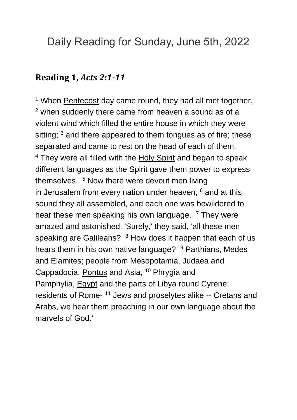# Daily Reading for Sunday, June 5th, 2022

#### **Reading 1,** *Acts 2:1-11*

 $1$  When [Pentecost](https://www.catholic.org/encyclopedia/view.php?id=9145) day came round, they had all met together, <sup>2</sup> when suddenly there came from [heaven](https://www.catholic.org/encyclopedia/view.php?id=5593) a sound as of a violent wind which filled the entire house in which they were sitting;  $3$  and there appeared to them tongues as of fire; these separated and came to rest on the head of each of them. <sup>4</sup> They were all filled with the [Holy Spirit](https://www.catholic.org/encyclopedia/view.php?id=5854) and began to speak different languages as the [Spirit](https://www.catholic.org/encyclopedia/view.php?id=11004) gave them power to express themselves. <sup>5</sup> Now there were devout men living in [Jerusalem](https://www.catholic.org/encyclopedia/view.php?id=6304) from every nation under heaven,  $6$  and at this sound they all assembled, and each one was bewildered to hear these men speaking his own language. <sup>7</sup> They were amazed and astonished. 'Surely,' they said, 'all these men speaking are Galileans? <sup>8</sup> How does it happen that each of us hears them in his own native language? <sup>9</sup> Parthians, Medes and Elamites; people from Mesopotamia, Judaea and Cappadocia, [Pontus](https://www.catholic.org/encyclopedia/view.php?id=9485) and Asia, <sup>10</sup> Phrygia and Pamphylia, [Egypt](https://www.catholic.org/encyclopedia/view.php?id=4193) and the parts of Libya round Cyrene; residents of Rome-<sup>11</sup> Jews and proselytes alike -- Cretans and Arabs, we hear them preaching in our own language about the marvels of God.'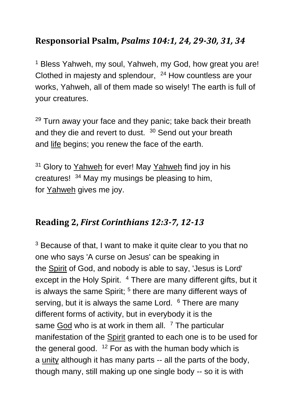### **Responsorial Psalm,** *Psalms 104:1, 24, 29-30, 31, 34*

<sup>1</sup> Bless Yahweh, my soul, Yahweh, my God, how great you are! Clothed in majesty and splendour, <sup>24</sup> How countless are your works, Yahweh, all of them made so wisely! The earth is full of your creatures.

<sup>29</sup> Turn away your face and they panic; take back their breath and they die and revert to dust.  $30$  Send out your breath and [life](https://www.catholic.org/encyclopedia/view.php?id=7101) begins; you renew the face of the earth.

<sup>31</sup> Glory to [Yahweh](https://www.catholic.org/encyclopedia/view.php?id=6291) for ever! May Yahweh find joy in his creatures! <sup>34</sup> May my musings be pleasing to him, for [Yahweh](https://www.catholic.org/encyclopedia/view.php?id=6291) gives me joy.

#### **Reading 2,** *First Corinthians 12:3-7, 12-13*

<sup>3</sup> Because of that, I want to make it quite clear to you that no one who says 'A curse on Jesus' can be speaking in the [Spirit](https://www.catholic.org/encyclopedia/view.php?id=11004) of God, and nobody is able to say, 'Jesus is Lord' except in the Holy Spirit. <sup>4</sup> There are many different gifts, but it is always the same Spirit; <sup>5</sup> there are many different ways of serving, but it is always the same Lord.  $6$  There are many different forms of activity, but in everybody it is the same  $\frac{God}{ }$  $\frac{God}{ }$  $\frac{God}{ }$  who is at work in them all.  $7$  The particular manifestation of the [Spirit](https://www.catholic.org/encyclopedia/view.php?id=11004) granted to each one is to be used for the general good.  $12$  For as with the human body which is a [unity](https://www.catholic.org/encyclopedia/view.php?id=11813) although it has many parts -- all the parts of the body, though many, still making up one single body -- so it is with